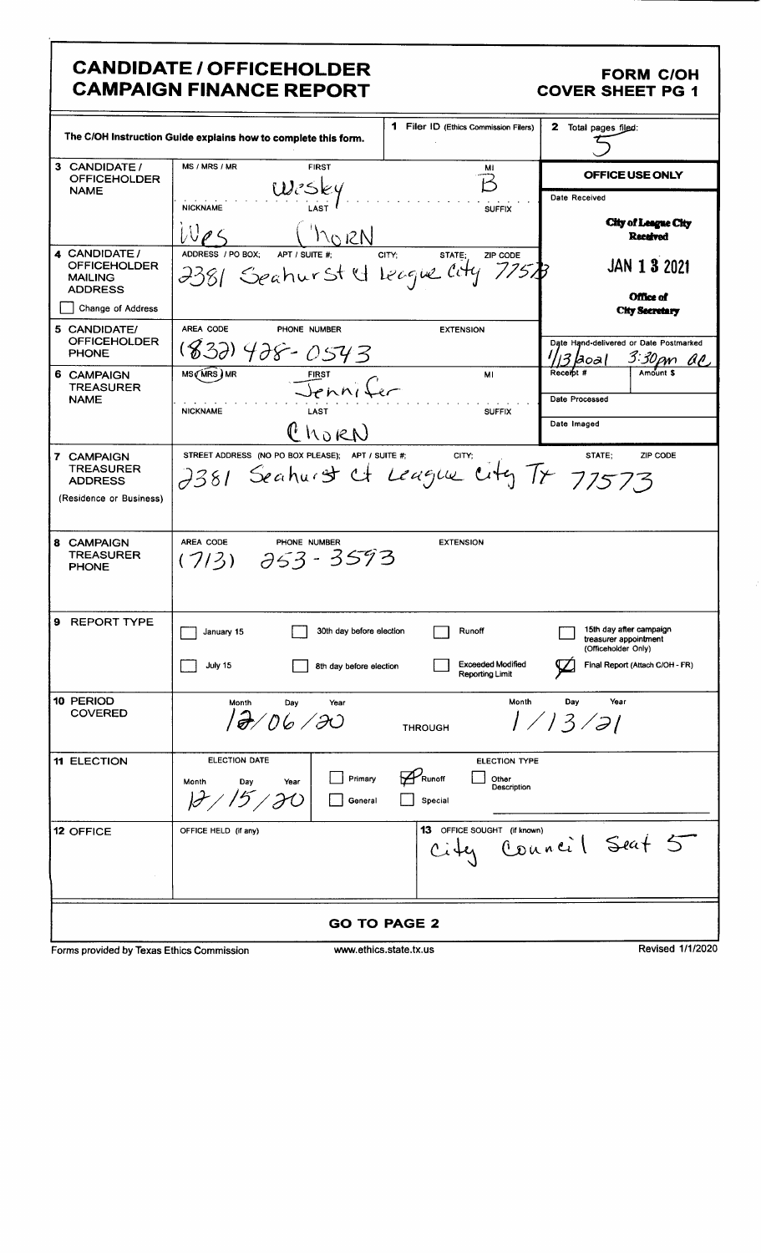#### **CANDIDATE / OFFICEHOLDER CAMPAIGN FINANCE REPORT**

#### **FORM C/OH COVER SHEET PG 1**

|                                                                          | The C/OH Instruction Guide explains how to complete this form.                             | <b>1</b> Filer ID (Ethics Commission Filers)                      | 2 Total pages filed:                                                |
|--------------------------------------------------------------------------|--------------------------------------------------------------------------------------------|-------------------------------------------------------------------|---------------------------------------------------------------------|
| 3 CANDIDATE /                                                            | MS / MRS / MR<br><b>FIRST</b>                                                              | Mi                                                                | OFFICE USE ONLY                                                     |
| <b>OFFICEHOLDER</b><br><b>NAME</b>                                       | $W$ csky                                                                                   |                                                                   |                                                                     |
|                                                                          | <b>NICKNAME</b>                                                                            | <b>SUFFIX</b>                                                     | Date Received                                                       |
|                                                                          | $h_0$ RN                                                                                   |                                                                   | <b>City of League City</b><br><b>Received</b>                       |
| 4 CANDIDATE /<br><b>OFFICEHOLDER</b><br><b>MAILING</b><br><b>ADDRESS</b> | ADDRESS / PO BOX;<br>APT / SUITE #:<br>2381 Seahurst & League City                         | STATE.<br>CITY:<br>ZIP CODE<br>775 B                              | <b>JAN 1 3 2021</b>                                                 |
| Change of Address                                                        |                                                                                            |                                                                   | Office of<br><b>City Secretary</b>                                  |
| 5 CANDIDATE/                                                             | AREA CODE<br>PHONE NUMBER                                                                  | <b>EXTENSION</b>                                                  |                                                                     |
| <b>OFFICEHOLDER</b><br><b>PHONE</b>                                      | (832) 428-0543                                                                             |                                                                   | Date Hand-delivered or Date Postmarked<br>3:30 pm ac<br><b>Doal</b> |
| 6 CAMPAIGN                                                               | MS (MRS) MR                                                                                | MI                                                                | Receibt #                                                           |
| <b>TREASURER</b><br><b>NAME</b>                                          | Jenni Cer                                                                                  |                                                                   | Date Processed                                                      |
|                                                                          | <b>NICKNAME</b><br>LAST                                                                    | <b>SUFFIX</b>                                                     |                                                                     |
|                                                                          | ChORN                                                                                      |                                                                   | Date Imaged                                                         |
| 7 CAMPAIGN<br><b>TREASURER</b><br><b>ADDRESS</b>                         | STREET ADDRESS (NO PO BOX PLEASE); APT / SUITE #;<br>2381 Seahurst et League City Tr 77573 | CITY:                                                             | STATE:<br>ZIP CODE                                                  |
| (Residence or Business)                                                  |                                                                                            |                                                                   |                                                                     |
|                                                                          |                                                                                            |                                                                   |                                                                     |
| 8 CAMPAIGN<br><b>TREASURER</b><br><b>PHONE</b>                           | AREA CODE<br>PHONE NUMBER<br>$(7/3)$ $\partial 53 - 3593$                                  | <b>EXTENSION</b>                                                  |                                                                     |
| 9 REPORT TYPE                                                            | 30th day before election<br>January 15                                                     | Runoff                                                            | 15th day after campaign<br>treasurer appointment                    |
|                                                                          | July 15<br>8th day before election                                                         | <b>Exceeded Modified</b><br>Reporting Limit                       | (Officeholder Only)<br>Final Report (Attach C/OH - FR)              |
| 10 PERIOD<br><b>COVERED</b>                                              | Month<br>Day<br>Year<br>12/06/30                                                           | Month<br><b>THROUGH</b>                                           | Year<br>Day<br>1/13/21                                              |
| <b>11 ELECTION</b>                                                       | <b>ELECTION DATE</b><br>Primary<br>Month<br>Day<br>Year<br>General                         | <b>ELECTION TYPE</b><br>Runoff<br>Other<br>Description<br>Special |                                                                     |
| 12 OFFICE                                                                | OFFICE HELD (if any)                                                                       | 13 OFFICE SOUGHT (if known)<br>$C$ ity                            | Council Seat 5                                                      |
|                                                                          |                                                                                            | <b>GO TO PAGE 2</b>                                               |                                                                     |
| Forms provided by Texas Ethics Commission                                |                                                                                            | www.ethics.state.tx.us                                            | Revised 1/1/2020                                                    |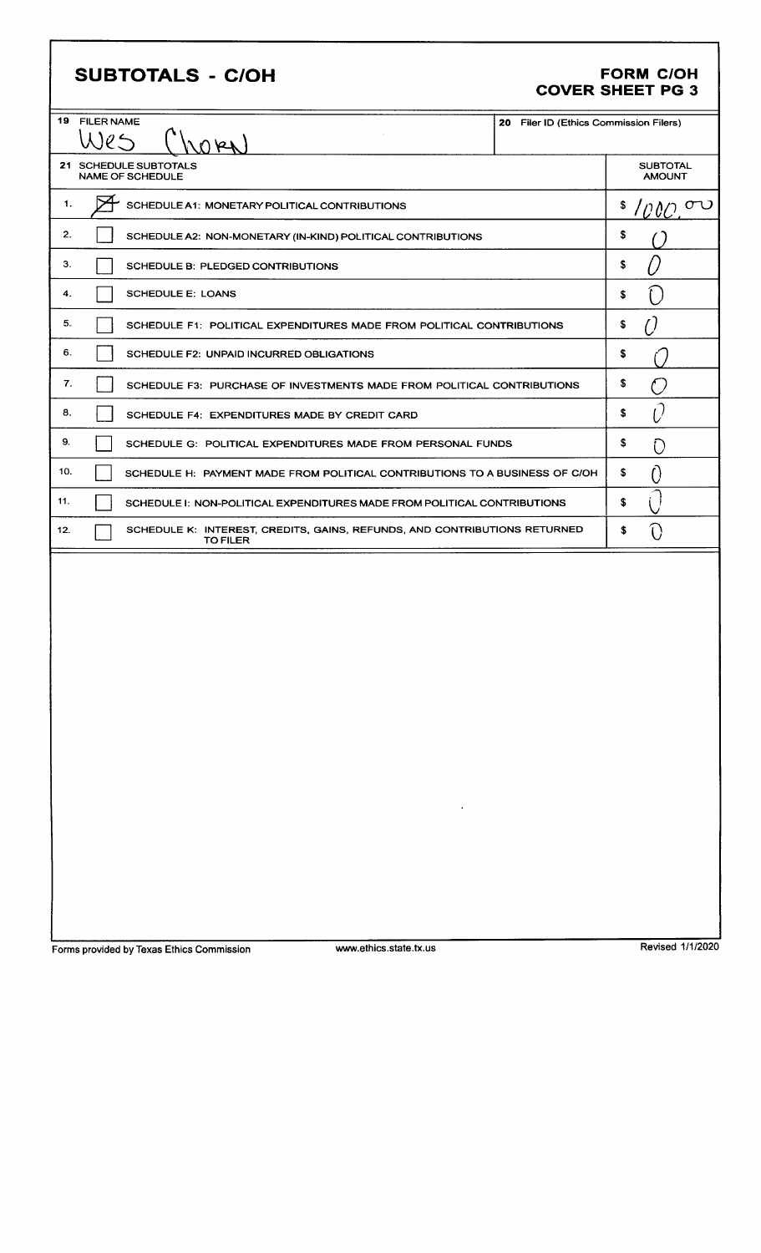### SUBTOTALS - C/OH

# FORM C/OH<br>COVER SHEET PG 3

| 19 FILER NAME<br>U(e)<br>NOPK)                                                                                                                                                | 20 Filer ID (Ethics Commission Filers) |                                  |
|-------------------------------------------------------------------------------------------------------------------------------------------------------------------------------|----------------------------------------|----------------------------------|
| 21 SCHEDULE SUBTOTALS<br><b>NAME OF SCHEDULE</b>                                                                                                                              |                                        | <b>SUBTOTAL</b><br><b>AMOUNT</b> |
| 1.<br>SCHEDULE A1: MONETARY POLITICAL CONTRIBUTIONS                                                                                                                           |                                        | \$.<br>൜<br>TOOC                 |
| 2.<br>SCHEDULE A2: NON-MONETARY (IN-KIND) POLITICAL CONTRIBUTIONS                                                                                                             |                                        | \$                               |
| З.<br>SCHEDULE B: PLEDGED CONTRIBUTIONS                                                                                                                                       |                                        | \$                               |
| 4.<br><b>SCHEDULE E: LOANS</b>                                                                                                                                                |                                        | \$                               |
| 5.<br>SCHEDULE F1: POLITICAL EXPENDITURES MADE FROM POLITICAL CONTRIBUTIONS                                                                                                   |                                        | \$                               |
| 6.<br>SCHEDULE F2: UNPAID INCURRED OBLIGATIONS                                                                                                                                |                                        | \$                               |
| 7.<br>SCHEDULE F3: PURCHASE OF INVESTMENTS MADE FROM POLITICAL CONTRIBUTIONS                                                                                                  |                                        | \$<br>$^{\prime}$ )              |
| 8.<br>SCHEDULE F4: EXPENDITURES MADE BY CREDIT CARD                                                                                                                           |                                        | Û<br>\$.                         |
| 9.<br>SCHEDULE G: POLITICAL EXPENDITURES MADE FROM PERSONAL FUNDS                                                                                                             |                                        | \$<br>C                          |
| 10.<br>SCHEDULE H: PAYMENT MADE FROM POLITICAL CONTRIBUTIONS TO A BUSINESS OF C/OH                                                                                            |                                        | \$<br>O                          |
| 11.<br>SCHEDULE I: NON-POLITICAL EXPENDITURES MADE FROM POLITICAL CONTRIBUTIONS                                                                                               |                                        | \$                               |
| 12.<br>SCHEDULE K: INTEREST, CREDITS, GAINS, REFUNDS, AND CONTRIBUTIONS RETURNED<br><b>TO FILER</b>                                                                           |                                        | \$                               |
| the control of the control of the<br>$\label{eq:2.1} \mathcal{L}_{\mathcal{A}}(x) = \mathcal{L}_{\mathcal{A}}(x) \mathcal{L}_{\mathcal{A}}(x) = \mathcal{L}_{\mathcal{A}}(x)$ |                                        |                                  |

Forms provided by Texas Ethics Commission www.ethics.state.tx.us Revised 1/1/2020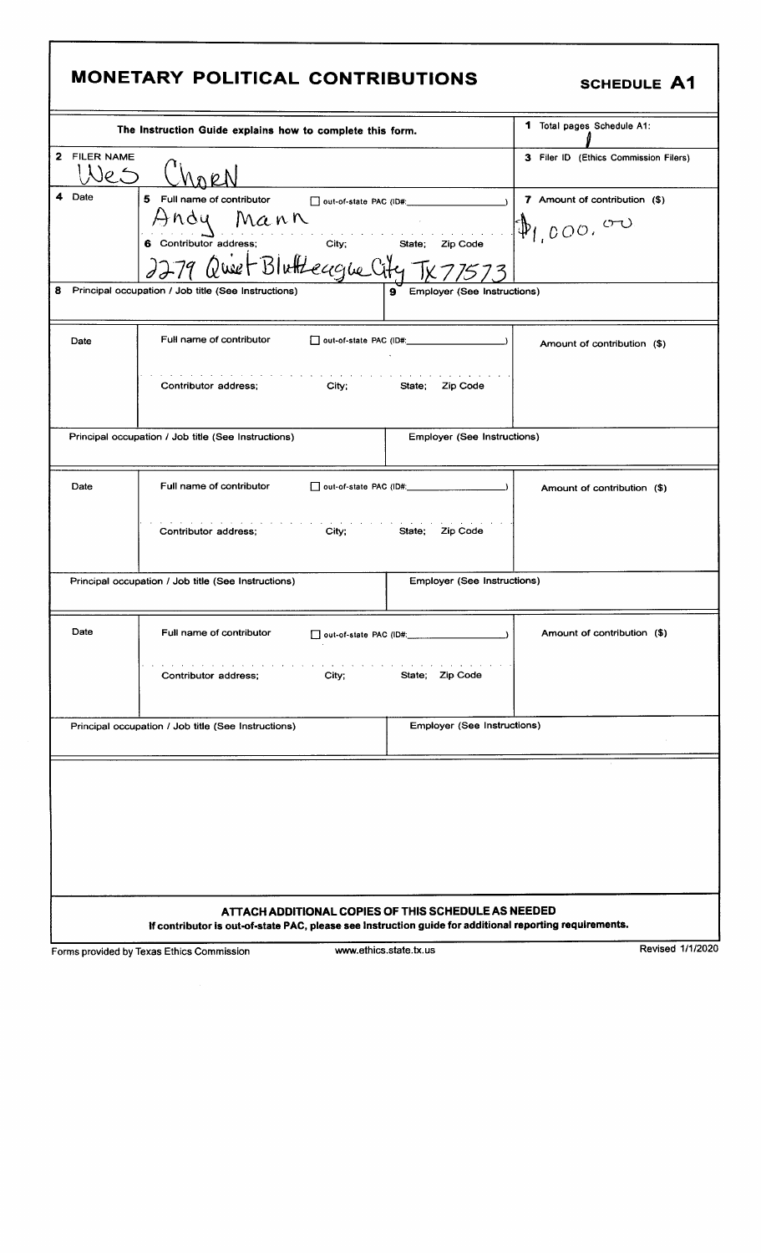# **MONETARY POLITICAL CONTRIBUTIONS**

|  | <b>SCHEDULE A1</b> |  |
|--|--------------------|--|
|--|--------------------|--|

|                                                          | The Instruction Guide explains how to complete this form.                                               | 1 Total pages Schedule A1:            |                               |
|----------------------------------------------------------|---------------------------------------------------------------------------------------------------------|---------------------------------------|-------------------------------|
| <b>FILER NAME</b><br>$\mathbf{2}$<br>$\overline{\rho}$ . |                                                                                                         | 3 Filer ID (Ethics Commission Filers) |                               |
| 4<br>Date                                                | 5.<br>Full name of contributor                                                                          | D out-of-state PAC (ID#:              | 7 Amount of contribution (\$) |
|                                                          | ndu                                                                                                     |                                       |                               |
|                                                          | Mann                                                                                                    | and a state of the state of           | $\Phi_{1,0000}$ or            |
|                                                          | 6 Contributor address;<br>City;                                                                         | State;<br>Zip Code                    |                               |
|                                                          | 9 Quiet Blutteague City                                                                                 |                                       |                               |
| 8                                                        | Principal occupation / Job title (See Instructions)                                                     | 9 Employer (See Instructions)         |                               |
|                                                          |                                                                                                         |                                       |                               |
|                                                          |                                                                                                         |                                       |                               |
| Date                                                     | Full name of contributor                                                                                |                                       | Amount of contribution (\$)   |
|                                                          |                                                                                                         |                                       |                               |
|                                                          | the contract of the contract of the contract of the                                                     |                                       |                               |
|                                                          | City;<br>Contributor address;                                                                           | State;<br>Zip Code                    |                               |
|                                                          |                                                                                                         |                                       |                               |
|                                                          |                                                                                                         |                                       |                               |
|                                                          | Principal occupation / Job title (See Instructions)                                                     | <b>Employer (See Instructions)</b>    |                               |
|                                                          |                                                                                                         |                                       |                               |
|                                                          |                                                                                                         |                                       |                               |
|                                                          |                                                                                                         |                                       |                               |
| Date                                                     | Full name of contributor                                                                                |                                       | Amount of contribution (\$)   |
|                                                          |                                                                                                         |                                       |                               |
|                                                          |                                                                                                         |                                       |                               |
|                                                          | Contributor address;<br>City:                                                                           | State;<br>Zip Code                    |                               |
|                                                          |                                                                                                         |                                       |                               |
|                                                          |                                                                                                         |                                       |                               |
|                                                          | Principal occupation / Job title (See Instructions)                                                     | Employer (See Instructions)           |                               |
|                                                          |                                                                                                         |                                       |                               |
|                                                          |                                                                                                         |                                       |                               |
| Date                                                     | Full name of contributor                                                                                | out-of-state PAC (ID#: 2000)          | Amount of contribution (\$)   |
|                                                          |                                                                                                         |                                       |                               |
|                                                          |                                                                                                         |                                       |                               |
|                                                          | Contributor address;<br>City;                                                                           | Zip Code<br>State;                    |                               |
|                                                          |                                                                                                         |                                       |                               |
|                                                          |                                                                                                         |                                       |                               |
|                                                          | Principal occupation / Job title (See Instructions)                                                     | Employer (See Instructions)           |                               |
|                                                          |                                                                                                         |                                       |                               |
|                                                          |                                                                                                         |                                       |                               |
|                                                          |                                                                                                         |                                       |                               |
|                                                          |                                                                                                         |                                       |                               |
|                                                          |                                                                                                         |                                       |                               |
|                                                          |                                                                                                         |                                       |                               |
|                                                          |                                                                                                         |                                       |                               |
|                                                          |                                                                                                         |                                       |                               |
|                                                          |                                                                                                         |                                       |                               |
|                                                          |                                                                                                         |                                       |                               |
|                                                          |                                                                                                         |                                       |                               |
| ATTACH ADDITIONAL COPIES OF THIS SCHEDULE AS NEEDED      |                                                                                                         |                                       |                               |
|                                                          | If contributor is out-of-state PAC, please see Instruction guide for additional reporting requirements. |                                       |                               |

Forms provided by Texas Ethics Commission www.ethics.state.tx.us Revised 1/1/2020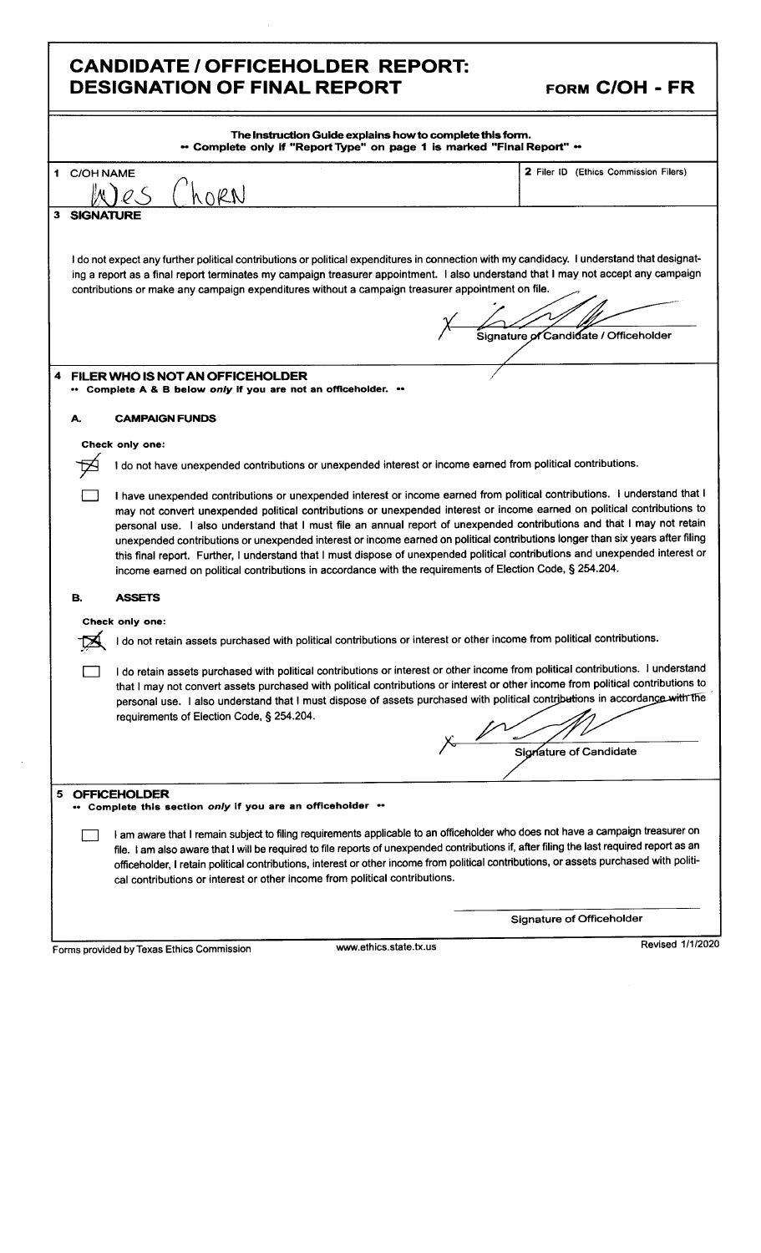#### CANDIDATE / OFFICEHOLDER REPORT: DESIGNATION OF FINAL REPORT

|  | FORM C/OH - FR |  |
|--|----------------|--|
|--|----------------|--|

|    | The Instruction Guide explains how to complete this form.<br>** Complete only if "Report Type" on page 1 is marked "Final Report" **                                                                                                                                                                                                                                                                                                                                                |                                                                                                                                                                                                                                                                                                                                                                                                                                                                                                                                                                                                                                                                                                                                                                  |                                       |  |  |
|----|-------------------------------------------------------------------------------------------------------------------------------------------------------------------------------------------------------------------------------------------------------------------------------------------------------------------------------------------------------------------------------------------------------------------------------------------------------------------------------------|------------------------------------------------------------------------------------------------------------------------------------------------------------------------------------------------------------------------------------------------------------------------------------------------------------------------------------------------------------------------------------------------------------------------------------------------------------------------------------------------------------------------------------------------------------------------------------------------------------------------------------------------------------------------------------------------------------------------------------------------------------------|---------------------------------------|--|--|
|    | 1 C/OH NAME                                                                                                                                                                                                                                                                                                                                                                                                                                                                         |                                                                                                                                                                                                                                                                                                                                                                                                                                                                                                                                                                                                                                                                                                                                                                  | 2 Filer ID (Ethics Commission Filers) |  |  |
|    |                                                                                                                                                                                                                                                                                                                                                                                                                                                                                     |                                                                                                                                                                                                                                                                                                                                                                                                                                                                                                                                                                                                                                                                                                                                                                  |                                       |  |  |
|    | 3 SIGNATURE                                                                                                                                                                                                                                                                                                                                                                                                                                                                         |                                                                                                                                                                                                                                                                                                                                                                                                                                                                                                                                                                                                                                                                                                                                                                  |                                       |  |  |
|    |                                                                                                                                                                                                                                                                                                                                                                                                                                                                                     | I do not expect any further political contributions or political expenditures in connection with my candidacy. I understand that designat-<br>ing a report as a final report terminates my campaign treasurer appointment. I also understand that I may not accept any campaign<br>contributions or make any campaign expenditures without a campaign treasurer appointment on file.                                                                                                                                                                                                                                                                                                                                                                             |                                       |  |  |
|    |                                                                                                                                                                                                                                                                                                                                                                                                                                                                                     |                                                                                                                                                                                                                                                                                                                                                                                                                                                                                                                                                                                                                                                                                                                                                                  |                                       |  |  |
|    |                                                                                                                                                                                                                                                                                                                                                                                                                                                                                     |                                                                                                                                                                                                                                                                                                                                                                                                                                                                                                                                                                                                                                                                                                                                                                  | Signature of Candidate / Officeholder |  |  |
|    |                                                                                                                                                                                                                                                                                                                                                                                                                                                                                     |                                                                                                                                                                                                                                                                                                                                                                                                                                                                                                                                                                                                                                                                                                                                                                  |                                       |  |  |
| 4  |                                                                                                                                                                                                                                                                                                                                                                                                                                                                                     | FILER WHO IS NOT AN OFFICEHOLDER                                                                                                                                                                                                                                                                                                                                                                                                                                                                                                                                                                                                                                                                                                                                 |                                       |  |  |
|    |                                                                                                                                                                                                                                                                                                                                                                                                                                                                                     | Complete A & B below only if you are not an officeholder. "                                                                                                                                                                                                                                                                                                                                                                                                                                                                                                                                                                                                                                                                                                      |                                       |  |  |
|    | А.                                                                                                                                                                                                                                                                                                                                                                                                                                                                                  | <b>CAMPAIGN FUNDS</b>                                                                                                                                                                                                                                                                                                                                                                                                                                                                                                                                                                                                                                                                                                                                            |                                       |  |  |
|    |                                                                                                                                                                                                                                                                                                                                                                                                                                                                                     | Check only one:                                                                                                                                                                                                                                                                                                                                                                                                                                                                                                                                                                                                                                                                                                                                                  |                                       |  |  |
|    |                                                                                                                                                                                                                                                                                                                                                                                                                                                                                     | do not have unexpended contributions or unexpended interest or income earned from political contributions.                                                                                                                                                                                                                                                                                                                                                                                                                                                                                                                                                                                                                                                       |                                       |  |  |
|    |                                                                                                                                                                                                                                                                                                                                                                                                                                                                                     | I have unexpended contributions or unexpended interest or income earned from political contributions. I understand that I<br>may not convert unexpended political contributions or unexpended interest or income earned on political contributions to<br>personal use. I also understand that I must file an annual report of unexpended contributions and that I may not retain<br>unexpended contributions or unexpended interest or income earned on political contributions longer than six years after filing<br>this final report. Further, I understand that I must dispose of unexpended political contributions and unexpended interest or<br>income earned on political contributions in accordance with the requirements of Election Code, § 254.204. |                                       |  |  |
|    | В.                                                                                                                                                                                                                                                                                                                                                                                                                                                                                  | <b>ASSETS</b>                                                                                                                                                                                                                                                                                                                                                                                                                                                                                                                                                                                                                                                                                                                                                    |                                       |  |  |
|    |                                                                                                                                                                                                                                                                                                                                                                                                                                                                                     | Check only one:                                                                                                                                                                                                                                                                                                                                                                                                                                                                                                                                                                                                                                                                                                                                                  |                                       |  |  |
|    | do not retain assets purchased with political contributions or interest or other income from political contributions.                                                                                                                                                                                                                                                                                                                                                               |                                                                                                                                                                                                                                                                                                                                                                                                                                                                                                                                                                                                                                                                                                                                                                  |                                       |  |  |
|    |                                                                                                                                                                                                                                                                                                                                                                                                                                                                                     | I do retain assets purchased with political contributions or interest or other income from political contributions. I understand<br>that I may not convert assets purchased with political contributions or interest or other income from political contributions to<br>personal use. I also understand that I must dispose of assets purchased with political contributions in accordance with the<br>requirements of Election Code, § 254.204.                                                                                                                                                                                                                                                                                                                 | Signature of Candidate                |  |  |
| 5. |                                                                                                                                                                                                                                                                                                                                                                                                                                                                                     | <b>OFFICEHOLDER</b>                                                                                                                                                                                                                                                                                                                                                                                                                                                                                                                                                                                                                                                                                                                                              |                                       |  |  |
|    | Complete this section only if you are an officeholder **<br>I am aware that I remain subject to filing requirements applicable to an officeholder who does not have a campaign treasurer on<br>file. I am also aware that I will be required to file reports of unexpended contributions if, after filing the last required report as an<br>officeholder, I retain political contributions, interest or other income from political contributions, or assets purchased with politi- |                                                                                                                                                                                                                                                                                                                                                                                                                                                                                                                                                                                                                                                                                                                                                                  |                                       |  |  |
|    |                                                                                                                                                                                                                                                                                                                                                                                                                                                                                     | cal contributions or interest or other income from political contributions.                                                                                                                                                                                                                                                                                                                                                                                                                                                                                                                                                                                                                                                                                      |                                       |  |  |
|    |                                                                                                                                                                                                                                                                                                                                                                                                                                                                                     |                                                                                                                                                                                                                                                                                                                                                                                                                                                                                                                                                                                                                                                                                                                                                                  | Signature of Officeholder             |  |  |
|    |                                                                                                                                                                                                                                                                                                                                                                                                                                                                                     | www.ethics.state.tx.us<br>Forms provided by Texas Ethics Commission                                                                                                                                                                                                                                                                                                                                                                                                                                                                                                                                                                                                                                                                                              | <b>Revised 1/1/2020</b>               |  |  |